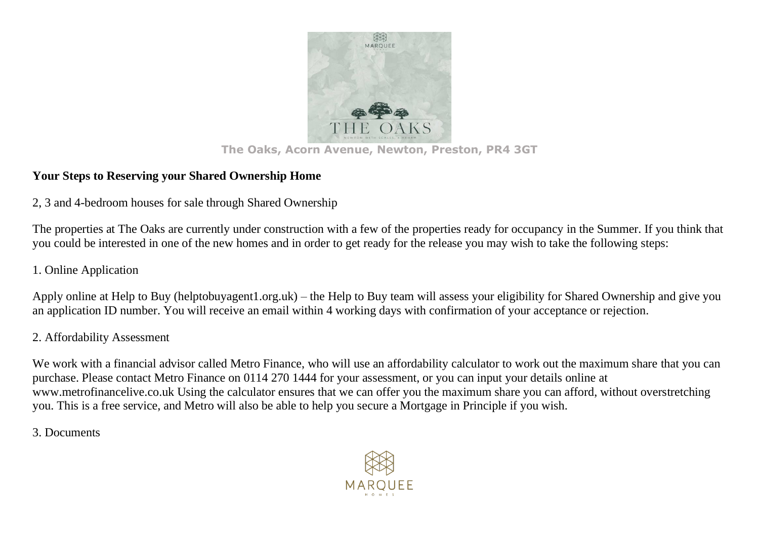

#### **The Oaks, Acorn Avenue, Newton, Preston, PR4 3GT**

## **Your Steps to Reserving your Shared Ownership Home**

2, 3 and 4-bedroom houses for sale through Shared Ownership

The properties at The Oaks are currently under construction with a few of the properties ready for occupancy in the Summer. If you think that you could be interested in one of the new homes and in order to get ready for the release you may wish to take the following steps:

# 1. Online Application

Apply online at Help to Buy (helptobuyagent1.org.uk) – the Help to Buy team will assess your eligibility for Shared Ownership and give you an application ID number. You will receive an email within 4 working days with confirmation of your acceptance or rejection.

## 2. Affordability Assessment

We work with a financial advisor called Metro Finance, who will use an affordability calculator to work out the maximum share that you can purchase. Please contact Metro Finance on 0114 270 1444 for your assessment, or you can input your details online at www.metrofinancelive.co.uk Using the calculator ensures that we can offer you the maximum share you can afford, without overstretching you. This is a free service, and Metro will also be able to help you secure a Mortgage in Principle if you wish.

### 3. Documents

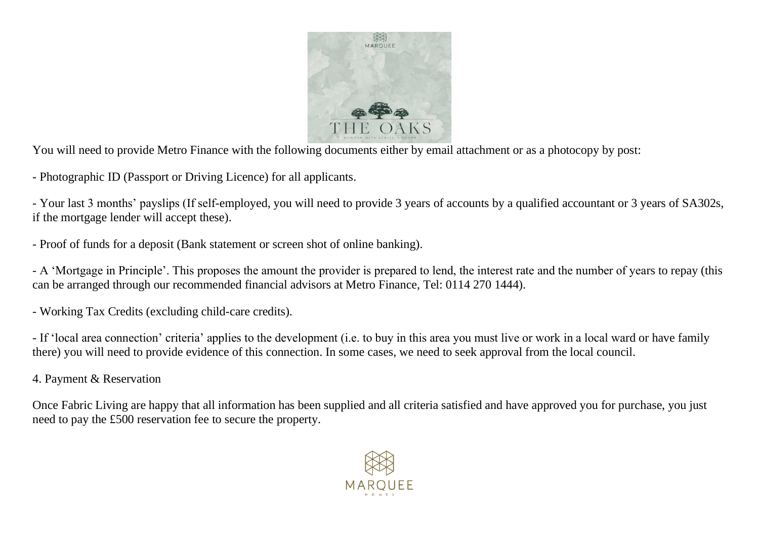

You will need to provide Metro Finance with the following documents either by email attachment or as a photocopy by post:

- Photographic ID (Passport or Driving Licence) for all applicants.

- Your last 3 months' payslips (If self-employed, you will need to provide 3 years of accounts by a qualified accountant or 3 years of SA302s, if the mortgage lender will accept these).

- Proof of funds for a deposit (Bank statement or screen shot of online banking).

- A 'Mortgage in Principle'. This proposes the amount the provider is prepared to lend, the interest rate and the number of years to repay (this can be arranged through our recommended financial advisors at Metro Finance, Tel: 0114 270 1444).

- Working Tax Credits (excluding child-care credits).

- If 'local area connection' criteria' applies to the development (i.e. to buy in this area you must live or work in a local ward or have family there) you will need to provide evidence of this connection. In some cases, we need to seek approval from the local council.

4. Payment & Reservation

Once Fabric Living are happy that all information has been supplied and all criteria satisfied and have approved you for purchase, you just need to pay the £500 reservation fee to secure the property.